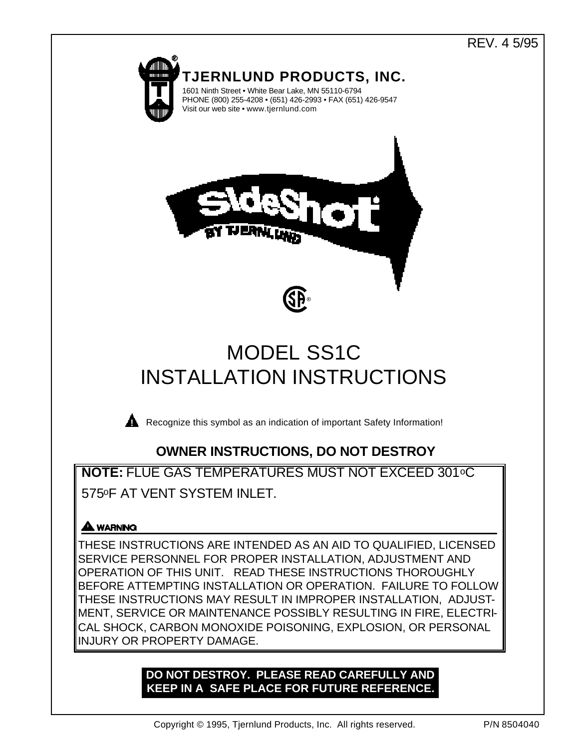# REV. 4 5/95



# MODEL SS1C INSTALLATION INSTRUCTIONS



**Recognize this symbol as an indication of important Safety Information!** 

# **OWNER INSTRUCTIONS, DO NOT DESTROY**

**NOTE:** FLUE GAS TEMPERATURES MUST NOT EXCEED 301oC 575oF AT VENT SYSTEM INLET.

# **A WARNING**

THESE INSTRUCTIONS ARE INTENDED AS AN AID TO QUALIFIED, LICENSED SERVICE PERSONNEL FOR PROPER INSTALLATION, ADJUSTMENT AND OPERATION OF THIS UNIT. READ THESE INSTRUCTIONS THOROUGHLY BEFORE ATTEMPTING INSTALLATION OR OPERATION. FAILURE TO FOLLOW THESE INSTRUCTIONS MAY RESULT IN IMPROPER INSTALLATION, ADJUST-MENT, SERVICE OR MAINTENANCE POSSIBLY RESULTING IN FIRE, ELECTRI-CAL SHOCK, CARBON MONOXIDE POISONING, EXPLOSION, OR PERSONAL INJURY OR PROPERTY DAMAGE.

# **DO NOT DESTROY. PLEASE READ CAREFULLY AND KEEP IN A SAFE PLACE FOR FUTURE REFERENCE.**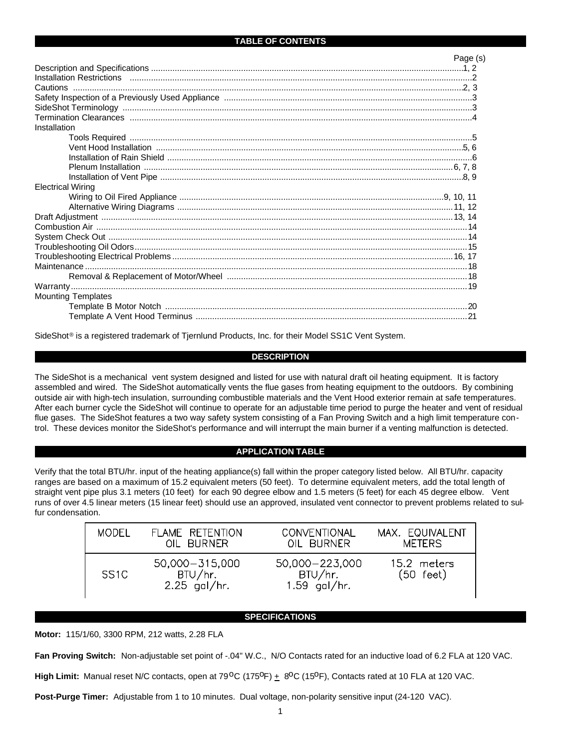#### **TABLE OF CONTENTS**

|                           | Page (s) |
|---------------------------|----------|
|                           |          |
|                           |          |
|                           |          |
|                           |          |
|                           |          |
|                           |          |
| Installation              |          |
|                           |          |
|                           |          |
|                           |          |
|                           |          |
|                           |          |
| <b>Electrical Wiring</b>  |          |
|                           |          |
|                           |          |
|                           |          |
|                           |          |
|                           |          |
|                           |          |
|                           |          |
|                           |          |
|                           |          |
|                           |          |
| <b>Mounting Templates</b> |          |
|                           |          |
|                           |          |
|                           |          |

SideShot® is a registered trademark of Tjernlund Products, Inc. for their Model SS1C Vent System.

#### **DESCRIPTION**

The SideShot is a mechanical vent system designed and listed for use with natural draft oil heating equipment. It is factory assembled and wired. The SideShot automatically vents the flue gases from heating equipment to the outdoors. By combining outside air with high-tech insulation, surrounding combustible materials and the Vent Hood exterior remain at safe temperatures. After each burner cycle the SideShot will continue to operate for an adjustable time period to purge the heater and vent of residual flue gases. The SideShot features a two way safety system consisting of a Fan Proving Switch and a high limit temperature control. These devices monitor the SideShot's performance and will interrupt the main burner if a venting malfunction is detected.

#### **APPLICATION TABLE**

Verify that the total BTU/hr. input of the heating appliance(s) fall within the proper category listed below. All BTU/hr. capacity ranges are based on a maximum of 15.2 equivalent meters (50 feet). To determine equivalent meters, add the total length of straight vent pipe plus 3.1 meters (10 feet) for each 90 degree elbow and 1.5 meters (5 feet) for each 45 degree elbow. Vent runs of over 4.5 linear meters (15 linear feet) should use an approved, insulated vent connector to prevent problems related to sulfur condensation.

| MODEL.           | FLAME RETENTION                               | CONVENTIONAL                                | MAX. EQUIVALENT                    |
|------------------|-----------------------------------------------|---------------------------------------------|------------------------------------|
|                  | OIL BLIRNER                                   | OIL BURNER                                  | <b>METERS</b>                      |
| SS <sub>1C</sub> | 50,000 - 315,000<br>BTU/hr.<br>$2.25$ gal/hr. | 50,000-223,000<br>BTU/hr.<br>$1.59$ gal/hr. | 15.2 meters<br>$(50 \text{ feet})$ |

#### **SPECIFICATIONS**

**Motor:** 115/1/60, 3300 RPM, 212 watts, 2.28 FLA

Fan Proving Switch: Non-adjustable set point of -.04" W.C., N/O Contacts rated for an inductive load of 6.2 FLA at 120 VAC.

High Limit: Manual reset N/C contacts, open at 79<sup>o</sup>C (175<sup>o</sup>F)  $\pm$  8<sup>o</sup>C (15<sup>o</sup>F), Contacts rated at 10 FLA at 120 VAC.

**Post-Purge Timer:** Adjustable from 1 to 10 minutes. Dual voltage, non-polarity sensitive input (24-120 VAC).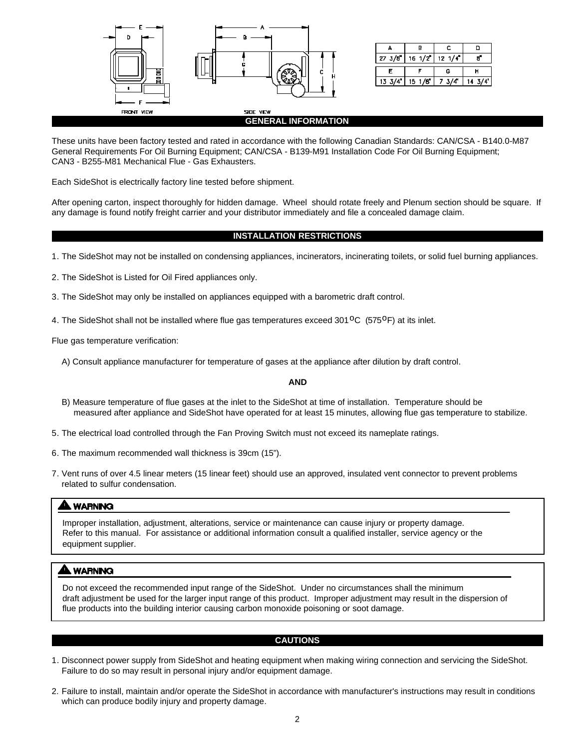

| $27 \frac{3}{d}$ | $16 \frac{1}{2}$   | $12 \frac{1}{4}$ |  |  |
|------------------|--------------------|------------------|--|--|
|                  |                    | c                |  |  |
| 13.3/4           | 1/5<br>۰/Æ<br>15 - |                  |  |  |

#### **GENERAL INFORMATION**

These units have been factory tested and rated in accordance with the following Canadian Standards: CAN/CSA - B140.0-M87 General Requirements For Oil Burning Equipment; CAN/CSA - B139-M91 Installation Code For Oil Burning Equipment; CAN3 - B255-M81 Mechanical Flue - Gas Exhausters.

Each SideShot is electrically factory line tested before shipment.

After opening carton, inspect thoroughly for hidden damage. Wheel should rotate freely and Plenum section should be square. If any damage is found notify freight carrier and your distributor immediately and file a concealed damage claim.

#### **INSTALLATION RESTRICTIONS**

- 1. The SideShot may not be installed on condensing appliances, incinerators, incinerating toilets, or solid fuel burning appliances.
- 2. The SideShot is Listed for Oil Fired appliances only.
- 3. The SideShot may only be installed on appliances equipped with a barometric draft control.
- 4. The SideShot shall not be installed where flue gas temperatures exceed 301<sup>o</sup>C (575<sup>o</sup>F) at its inlet.

Flue gas temperature verification:

A) Consult appliance manufacturer for temperature of gases at the appliance after dilution by draft control.

#### **AND**

- B) Measure temperature of flue gases at the inlet to the SideShot at time of installation. Temperature should be measured after appliance and SideShot have operated for at least 15 minutes, allowing flue gas temperature to stabilize.
- 5. The electrical load controlled through the Fan Proving Switch must not exceed its nameplate ratings.
- 6. The maximum recommended wall thickness is 39cm (15").
- 7. Vent runs of over 4.5 linear meters (15 linear feet) should use an approved, insulated vent connector to prevent problems related to sulfur condensation.

#### **NARNING**

Improper installation, adjustment, alterations, service or maintenance can cause injury or property damage. Refer to this manual. For assistance or additional information consult a qualified installer, service agency or the equipment supplier.

#### **A WARNING**

Do not exceed the recommended input range of the SideShot. Under no circumstances shall the minimum draft adjustment be used for the larger input range of this product. Improper adjustment may result in the dispersion of flue products into the building interior causing carbon monoxide poisoning or soot damage.

#### **CAUTIONS**

- 1. Disconnect power supply from SideShot and heating equipment when making wiring connection and servicing the SideShot. Failure to do so may result in personal injury and/or equipment damage.
- 2. Failure to install, maintain and/or operate the SideShot in accordance with manufacturer's instructions may result in conditions which can produce bodily injury and property damage.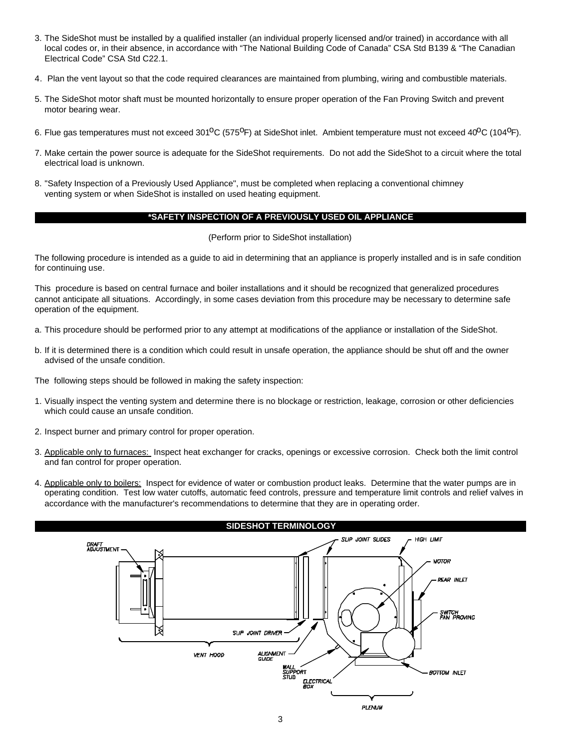- 3. The SideShot must be installed by a qualified installer (an individual properly licensed and/or trained) in accordance with all local codes or, in their absence, in accordance with "The National Building Code of Canada" CSA Std B139 & "The Canadian Electrical Code" CSA Std C22.1.
- 4. Plan the vent layout so that the code required clearances are maintained from plumbing, wiring and combustible materials.
- 5. The SideShot motor shaft must be mounted horizontally to ensure proper operation of the Fan Proving Switch and prevent motor bearing wear.
- 6. Flue gas temperatures must not exceed 301<sup>o</sup>C (575<sup>o</sup>F) at SideShot inlet. Ambient temperature must not exceed 40<sup>o</sup>C (104<sup>o</sup>F).
- 7. Make certain the power source is adequate for the SideShot requirements. Do not add the SideShot to a circuit where the total electrical load is unknown.
- 8. "Safety Inspection of a Previously Used Appliance", must be completed when replacing a conventional chimney venting system or when SideShot is installed on used heating equipment.

#### **\*SAFETY INSPECTION OF A PREVIOUSLY USED OIL APPLIANCE**

(Perform prior to SideShot installation)

The following procedure is intended as a guide to aid in determining that an appliance is properly installed and is in safe condition for continuing use.

This procedure is based on central furnace and boiler installations and it should be recognized that generalized procedures cannot anticipate all situations. Accordingly, in some cases deviation from this procedure may be necessary to determine safe operation of the equipment.

- a. This procedure should be performed prior to any attempt at modifications of the appliance or installation of the SideShot.
- b. If it is determined there is a condition which could result in unsafe operation, the appliance should be shut off and the owner advised of the unsafe condition.

The following steps should be followed in making the safety inspection:

- 1. Visually inspect the venting system and determine there is no blockage or restriction, leakage, corrosion or other deficiencies which could cause an unsafe condition.
- 2. Inspect burner and primary control for proper operation.
- 3. Applicable only to furnaces: Inspect heat exchanger for cracks, openings or excessive corrosion. Check both the limit control and fan control for proper operation.
- 4. Applicable only to boilers: Inspect for evidence of water or combustion product leaks. Determine that the water pumps are in operating condition. Test low water cutoffs, automatic feed controls, pressure and temperature limit controls and relief valves in accordance with the manufacturer's recommendations to determine that they are in operating order.

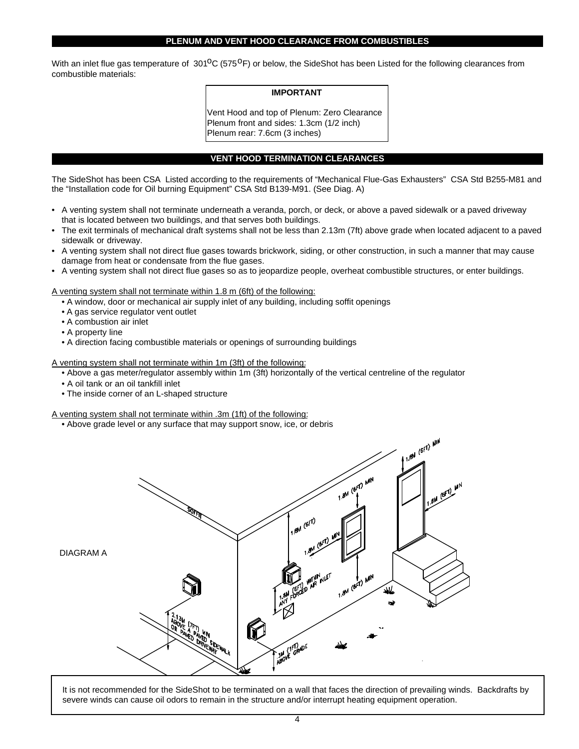#### **PLENUM AND VENT HOOD CLEARANCE FROM COMBUSTIBLES**

With an inlet flue gas temperature of  $301^0C$  (575<sup>O</sup>F) or below, the SideShot has been Listed for the following clearances from combustible materials:

#### **IMPORTANT**

Vent Hood and top of Plenum: Zero Clearance Plenum front and sides: 1.3cm (1/2 inch) Plenum rear: 7.6cm (3 inches)

#### **VENT HOOD TERMINATION CLEARANCES**

The SideShot has been CSA Listed according to the requirements of "Mechanical Flue-Gas Exhausters" CSA Std B255-M81 and the "Installation code for Oil burning Equipment" CSA Std B139-M91. (See Diag. A)

- A venting system shall not terminate underneath a veranda, porch, or deck, or above a paved sidewalk or a paved driveway that is located between two buildings, and that serves both buildings.
- The exit terminals of mechanical draft systems shall not be less than 2.13m (7ft) above grade when located adjacent to a paved sidewalk or driveway.
- A venting system shall not direct flue gases towards brickwork, siding, or other construction, in such a manner that may cause damage from heat or condensate from the flue gases.
- A venting system shall not direct flue gases so as to jeopardize people, overheat combustible structures, or enter buildings.

A venting system shall not terminate within 1.8 m (6ft) of the following:

- A window, door or mechanical air supply inlet of any building, including soffit openings
- A gas service regulator vent outlet
- A combustion air inlet
- A property line
- A direction facing combustible materials or openings of surrounding buildings

A venting system shall not terminate within 1m (3ft) of the following:

- Above a gas meter/regulator assembly within 1m (3ft) horizontally of the vertical centreline of the regulator
- A oil tank or an oil tankfill inlet
- The inside corner of an L-shaped structure

A venting system shall not terminate within .3m (1ft) of the following:

• Above grade level or any surface that may support snow, ice, or debris



It is not recommended for the SideShot to be terminated on a wall that faces the direction of prevailing winds. Backdrafts by severe winds can cause oil odors to remain in the structure and/or interrupt heating equipment operation.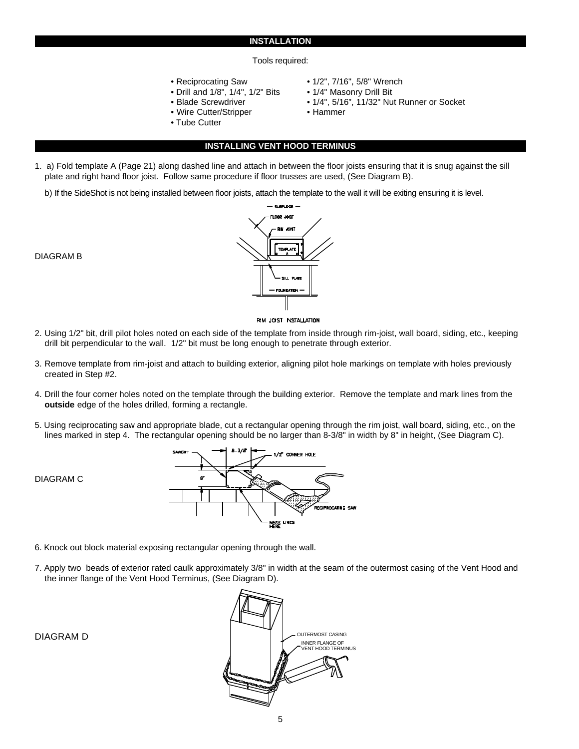#### **INSTALLATION**

#### Tools required:

- 
- Drill and 1/8", 1/4", 1/2" Bits 1/4" Masonry Drill Bit
- 
- Wire Cutter/Stripper Hammer
- Tube Cutter
- Reciprocating Saw 1/2", 7/16", 5/8" Wrench
	-
- Blade Screwdriver 1/4", 5/16", 11/32" Nut Runner or Socket
	-
	- **INSTALLING VENT HOOD TERMINUS**
- 1. a) Fold template A (Page 21) along dashed line and attach in between the floor joists ensuring that it is snug against the sill plate and right hand floor joist. Follow same procedure if floor trusses are used, (See Diagram B).
	- b) If the SideShot is not being installed between floor joists, attach the template to the wall it will be exiting ensuring it is level.



RIM JOIST INSTALLATION

- 2. Using 1/2" bit, drill pilot holes noted on each side of the template from inside through rim-joist, wall board, siding, etc., keeping drill bit perpendicular to the wall. 1/2" bit must be long enough to penetrate through exterior.
- 3. Remove template from rim-joist and attach to building exterior, aligning pilot hole markings on template with holes previously created in Step #2.
- 4. Drill the four corner holes noted on the template through the building exterior. Remove the template and mark lines from the **outside** edge of the holes drilled, forming a rectangle.
- 5. Using reciprocating saw and appropriate blade, cut a rectangular opening through the rim joist, wall board, siding, etc., on the lines marked in step 4. The rectangular opening should be no larger than 8-3/8" in width by 8" in height, (See Diagram C).



- 6. Knock out block material exposing rectangular opening through the wall.
- 7. Apply two beads of exterior rated caulk approximately 3/8" in width at the seam of the outermost casing of the Vent Hood and the inner flange of the Vent Hood Terminus, (See Diagram D).

DIAGRAM C



#### DIAGRAM B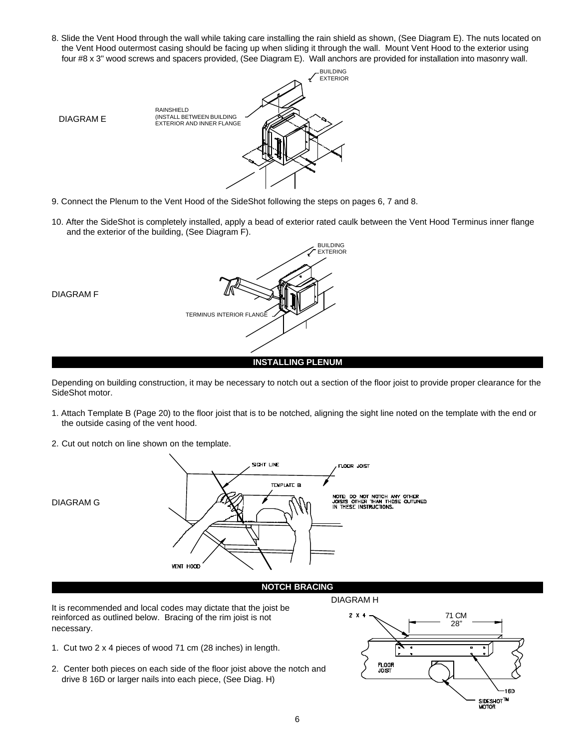8. Slide the Vent Hood through the wall while taking care installing the rain shield as shown, (See Diagram E). The nuts located on the Vent Hood outermost casing should be facing up when sliding it through the wall. Mount Vent Hood to the exterior using four #8 x 3" wood screws and spacers provided, (See Diagram E). Wall anchors are provided for installation into masonry wall.



- 9. Connect the Plenum to the Vent Hood of the SideShot following the steps on pages 6, 7 and 8.
- 10. After the SideShot is completely installed, apply a bead of exterior rated caulk between the Vent Hood Terminus inner flange and the exterior of the building, (See Diagram F).



Depending on building construction, it may be necessary to notch out a section of the floor joist to provide proper clearance for the SideShot motor.

- 1. Attach Template B (Page 20) to the floor joist that is to be notched, aligning the sight line noted on the template with the end or the outside casing of the vent hood.
- 2. Cut out notch on line shown on the template.



#### **NOTCH BRACING**

It is recommended and local codes may dictate that the joist be reinforced as outlined below. Bracing of the rim joist is not necessary.

- 1. Cut two 2 x 4 pieces of wood 71 cm (28 inches) in length.
- 2. Center both pieces on each side of the floor joist above the notch and drive 8 16D or larger nails into each piece, (See Diag. H)

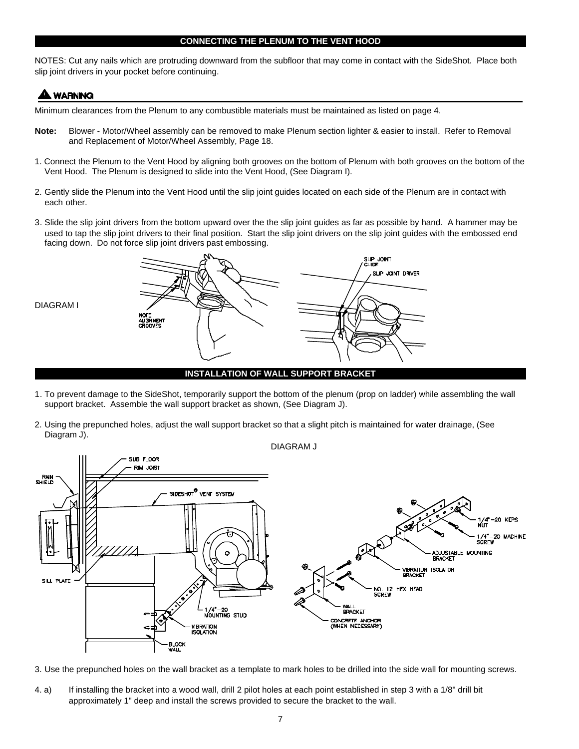#### **CONNECTING THE PLENUM TO THE VENT HOOD**

NOTES: Cut any nails which are protruding downward from the subfloor that may come in contact with the SideShot. Place both slip joint drivers in your pocket before continuing.

# **A WARNING**

DIAGRAM I

Minimum clearances from the Plenum to any combustible materials must be maintained as listed on page 4.

- **Note:** Blower Motor/Wheel assembly can be removed to make Plenum section lighter & easier to install. Refer to Removal and Replacement of Motor/Wheel Assembly, Page 18.
- 1. Connect the Plenum to the Vent Hood by aligning both grooves on the bottom of Plenum with both grooves on the bottom of the Vent Hood. The Plenum is designed to slide into the Vent Hood, (See Diagram I).
- 2. Gently slide the Plenum into the Vent Hood until the slip joint guides located on each side of the Plenum are in contact with each other.
- 3. Slide the slip joint drivers from the bottom upward over the the slip joint guides as far as possible by hand. A hammer may be used to tap the slip joint drivers to their final position. Start the slip joint drivers on the slip joint guides with the embossed end facing down. Do not force slip joint drivers past embossing.



**INSTALLATION OF WALL SUPPORT BRACKET**

- 1. To prevent damage to the SideShot, temporarily support the bottom of the plenum (prop on ladder) while assembling the wall support bracket. Assemble the wall support bracket as shown, (See Diagram J).
- 2. Using the prepunched holes, adjust the wall support bracket so that a slight pitch is maintained for water drainage, (See Diagram J).



3. Use the prepunched holes on the wall bracket as a template to mark holes to be drilled into the side wall for mounting screws.

4. a) If installing the bracket into a wood wall, drill 2 pilot holes at each point established in step 3 with a 1/8" drill bit approximately 1" deep and install the screws provided to secure the bracket to the wall.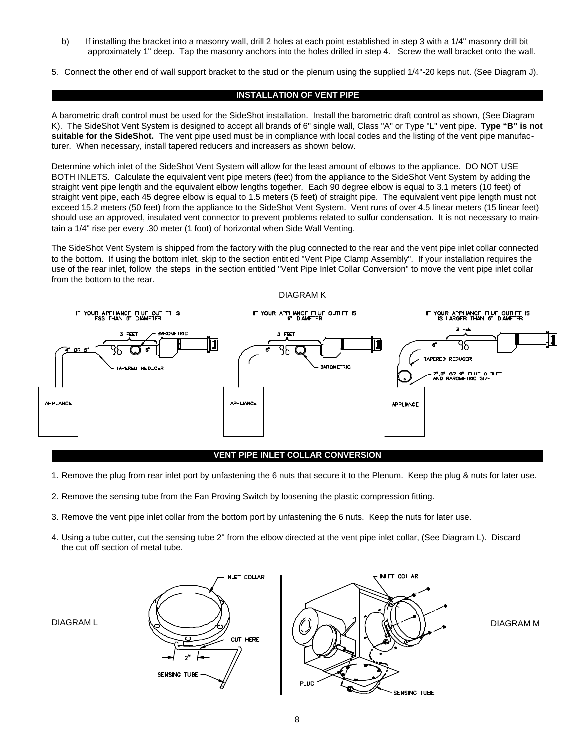- b) If installing the bracket into a masonry wall, drill 2 holes at each point established in step 3 with a 1/4" masonry drill bit approximately 1" deep. Tap the masonry anchors into the holes drilled in step 4. Screw the wall bracket onto the wall.
- 5. Connect the other end of wall support bracket to the stud on the plenum using the supplied 1/4"-20 keps nut. (See Diagram J).

#### **INSTALLATION OF VENT PIPE**

A barometric draft control must be used for the SideShot installation. Install the barometric draft control as shown, (See Diagram K). The SideShot Vent System is designed to accept all brands of 6" single wall, Class "A" or Type "L" vent pipe. **Type "B" is not suitable for the SideShot.** The vent pipe used must be in compliance with local codes and the listing of the vent pipe manufacturer. When necessary, install tapered reducers and increasers as shown below.

Determine which inlet of the SideShot Vent System will allow for the least amount of elbows to the appliance. DO NOT USE BOTH INLETS. Calculate the equivalent vent pipe meters (feet) from the appliance to the SideShot Vent System by adding the straight vent pipe length and the equivalent elbow lengths together. Each 90 degree elbow is equal to 3.1 meters (10 feet) of straight vent pipe, each 45 degree elbow is equal to 1.5 meters (5 feet) of straight pipe. The equivalent vent pipe length must not exceed 15.2 meters (50 feet) from the appliance to the SideShot Vent System. Vent runs of over 4.5 linear meters (15 linear feet) should use an approved, insulated vent connector to prevent problems related to sulfur condensation. It is not necessary to maintain a 1/4" rise per every .30 meter (1 foot) of horizontal when Side Wall Venting.

The SideShot Vent System is shipped from the factory with the plug connected to the rear and the vent pipe inlet collar connected to the bottom. If using the bottom inlet, skip to the section entitled "Vent Pipe Clamp Assembly". If your installation requires the use of the rear inlet, follow the steps in the section entitled "Vent Pipe Inlet Collar Conversion" to move the vent pipe inlet collar from the bottom to the rear.



#### **VENT PIPE INLET COLLAR CONVERSION**

- 1. Remove the plug from rear inlet port by unfastening the 6 nuts that secure it to the Plenum. Keep the plug & nuts for later use.
- 2. Remove the sensing tube from the Fan Proving Switch by loosening the plastic compression fitting.
- 3. Remove the vent pipe inlet collar from the bottom port by unfastening the 6 nuts. Keep the nuts for later use.
- 4. Using a tube cutter, cut the sensing tube 2" from the elbow directed at the vent pipe inlet collar, (See Diagram L). Discard the cut off section of metal tube.

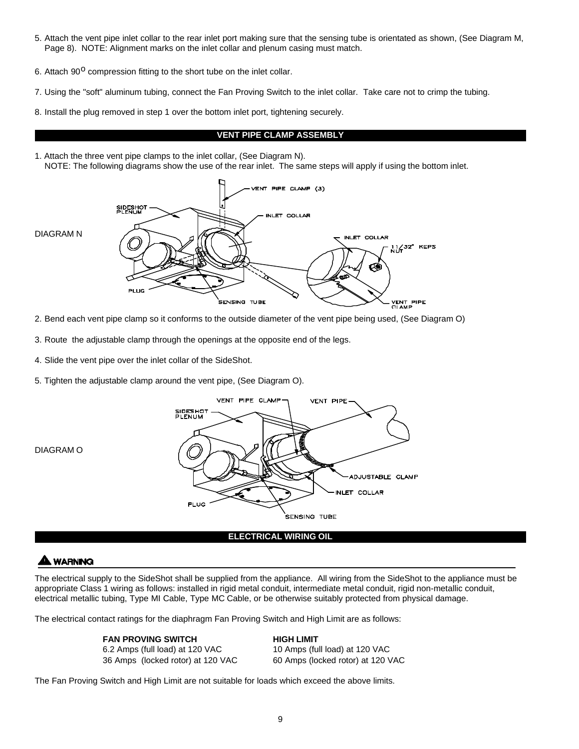- 5. Attach the vent pipe inlet collar to the rear inlet port making sure that the sensing tube is orientated as shown, (See Diagram M, Page 8). NOTE: Alignment marks on the inlet collar and plenum casing must match.
- 6. Attach  $90^{\circ}$  compression fitting to the short tube on the inlet collar.
- 7. Using the "soft" aluminum tubing, connect the Fan Proving Switch to the inlet collar. Take care not to crimp the tubing.
- 8. Install the plug removed in step 1 over the bottom inlet port, tightening securely.

#### **VENT PIPE CLAMP ASSEMBLY**

1. Attach the three vent pipe clamps to the inlet collar, (See Diagram N). NOTE: The following diagrams show the use of the rear inlet. The same steps will apply if using the bottom inlet.



- 2. Bend each vent pipe clamp so it conforms to the outside diameter of the vent pipe being used, (See Diagram O)
- 3. Route the adjustable clamp through the openings at the opposite end of the legs.
- 4. Slide the vent pipe over the inlet collar of the SideShot.
- 5. Tighten the adjustable clamp around the vent pipe, (See Diagram O).



DIAGRAM O

#### **ELECTRICAL WIRING OIL**

#### **WARNING**

The electrical supply to the SideShot shall be supplied from the appliance. All wiring from the SideShot to the appliance must be appropriate Class 1 wiring as follows: installed in rigid metal conduit, intermediate metal conduit, rigid non-metallic conduit, electrical metallic tubing, Type MI Cable, Type MC Cable, or be otherwise suitably protected from physical damage.

The electrical contact ratings for the diaphragm Fan Proving Switch and High Limit are as follows:

**FAN PROVING SWITCH**<br> **6.2 Amps (full load) at 120 VAC** 10 Amps (full load) at 120 VAC 6.2 Amps (full load) at 120 VAC 36 Amps (locked rotor) at 120 VAC 60 Amps (locked rotor) at 120 VAC

The Fan Proving Switch and High Limit are not suitable for loads which exceed the above limits.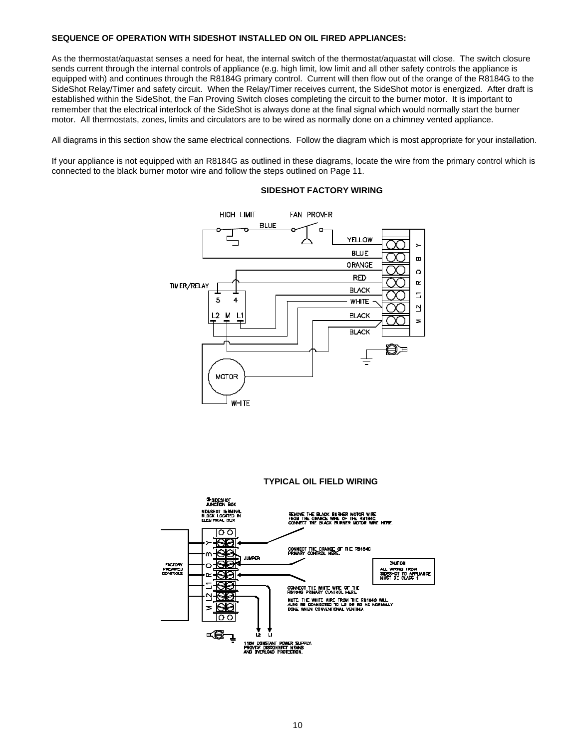#### **SEQUENCE OF OPERATION WITH SIDESHOT INSTALLED ON OIL FIRED APPLIANCES:**

As the thermostat/aquastat senses a need for heat, the internal switch of the thermostat/aquastat will close. The switch closure sends current through the internal controls of appliance (e.g. high limit, low limit and all other safety controls the appliance is equipped with) and continues through the R8184G primary control. Current will then flow out of the orange of the R8184G to the SideShot Relay/Timer and safety circuit. When the Relay/Timer receives current, the SideShot motor is energized. After draft is established within the SideShot, the Fan Proving Switch closes completing the circuit to the burner motor. It is important to remember that the electrical interlock of the SideShot is always done at the final signal which would normally start the burner motor. All thermostats, zones, limits and circulators are to be wired as normally done on a chimney vented appliance.

All diagrams in this section show the same electrical connections. Follow the diagram which is most appropriate for your installation.

If your appliance is not equipped with an R8184G as outlined in these diagrams, locate the wire from the primary control which is connected to the black burner motor wire and follow the steps outlined on Page 11.



#### **SIDESHOT FACTORY WIRING**

**TYPICAL OIL FIELD WIRING**

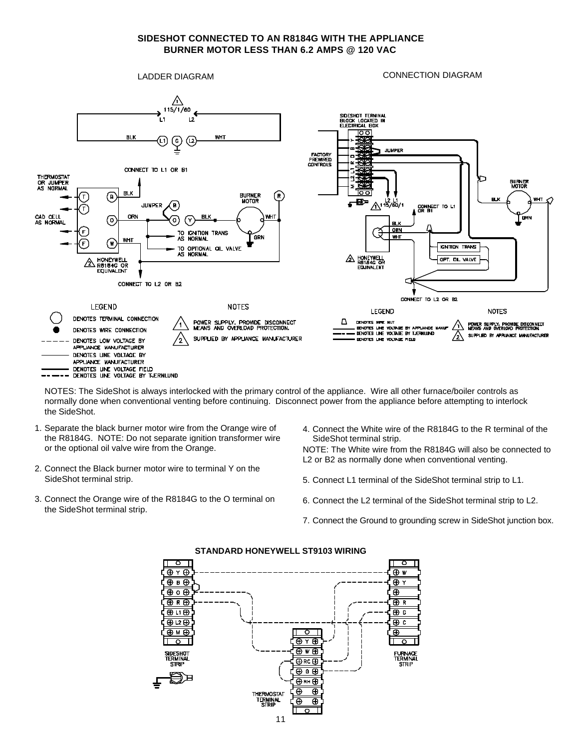#### **SIDESHOT CONNECTED TO AN R8184G WITH THE APPLIANCE BURNER MOTOR LESS THAN 6.2 AMPS @ 120 VAC**



NOTES: The SideShot is always interlocked with the primary control of the appliance. Wire all other furnace/boiler controls as normally done when conventional venting before continuing. Disconnect power from the appliance before attempting to interlock the SideShot.

- 1. Separate the black burner motor wire from the Orange wire of the R8184G. NOTE: Do not separate ignition transformer wire or the optional oil valve wire from the Orange.
- 2. Connect the Black burner motor wire to terminal Y on the SideShot terminal strip.
- 3. Connect the Orange wire of the R8184G to the O terminal on the SideShot terminal strip.
- 4. Connect the White wire of the R8184G to the R terminal of the SideShot terminal strip.

NOTE: The White wire from the R8184G will also be connected to L2 or B2 as normally done when conventional venting.

- 5. Connect L1 terminal of the SideShot terminal strip to L1.
- 6. Connect the L2 terminal of the SideShot terminal strip to L2.
- 7. Connect the Ground to grounding screw in SideShot junction box.



**STANDARD HONEYWELL ST9103 WIRING**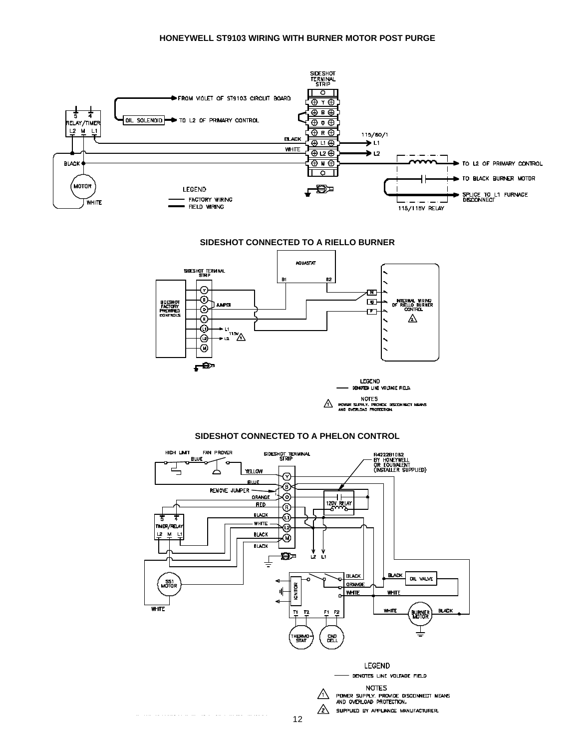#### **HONEYWELL ST9103 WIRING WITH BURNER MOTOR POST PURGE**





للمالية الاستعادة المالية المتحدة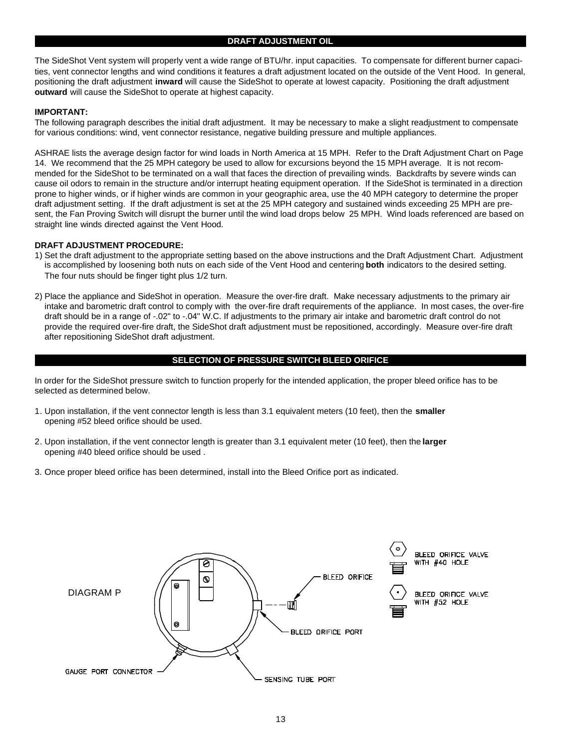The SideShot Vent system will properly vent a wide range of BTU/hr. input capacities. To compensate for different burner capacities, vent connector lengths and wind conditions it features a draft adjustment located on the outside of the Vent Hood. In general, positioning the draft adjustment **inward** will cause the SideShot to operate at lowest capacity. Positioning the draft adjustment **outward** will cause the SideShot to operate at highest capacity.

#### **IMPORTANT:**

The following paragraph describes the initial draft adjustment. It may be necessary to make a slight readjustment to compensate for various conditions: wind, vent connector resistance, negative building pressure and multiple appliances.

ASHRAE lists the average design factor for wind loads in North America at 15 MPH. Refer to the Draft Adjustment Chart on Page 14. We recommend that the 25 MPH category be used to allow for excursions beyond the 15 MPH average. It is not recommended for the SideShot to be terminated on a wall that faces the direction of prevailing winds. Backdrafts by severe winds can cause oil odors to remain in the structure and/or interrupt heating equipment operation. If the SideShot is terminated in a direction prone to higher winds, or if higher winds are common in your geographic area, use the 40 MPH category to determine the proper draft adjustment setting. If the draft adjustment is set at the 25 MPH category and sustained winds exceeding 25 MPH are present, the Fan Proving Switch will disrupt the burner until the wind load drops below 25 MPH. Wind loads referenced are based on straight line winds directed against the Vent Hood.

#### **DRAFT ADJUSTMENT PROCEDURE:**

- 1) Set the draft adjustment to the appropriate setting based on the above instructions and the Draft Adjustment Chart. Adjustment is accomplished by loosening both nuts on each side of the Vent Hood and centering **both** indicators to the desired setting. The four nuts should be finger tight plus 1/2 turn.
- 2) Place the appliance and SideShot in operation. Measure the over-fire draft. Make necessary adjustments to the primary air intake and barometric draft control to comply with the over-fire draft requirements of the appliance. In most cases, the over-fire draft should be in a range of -.02" to -.04" W.C. If adjustments to the primary air intake and barometric draft control do not provide the required over-fire draft, the SideShot draft adjustment must be repositioned, accordingly. Measure over-fire draft after repositioning SideShot draft adjustment.

#### **SELECTION OF PRESSURE SWITCH BLEED ORIFICE**

In order for the SideShot pressure switch to function properly for the intended application, the proper bleed orifice has to be selected as determined below.

- 1. Upon installation, if the vent connector length is less than 3.1 equivalent meters (10 feet), then the **smaller** opening #52 bleed orifice should be used.
- 2. Upon installation, if the vent connector length is greater than 3.1 equivalent meter (10 feet), then the **larger**  opening #40 bleed orifice should be used .
- 3. Once proper bleed orifice has been determined, install into the Bleed Orifice port as indicated.

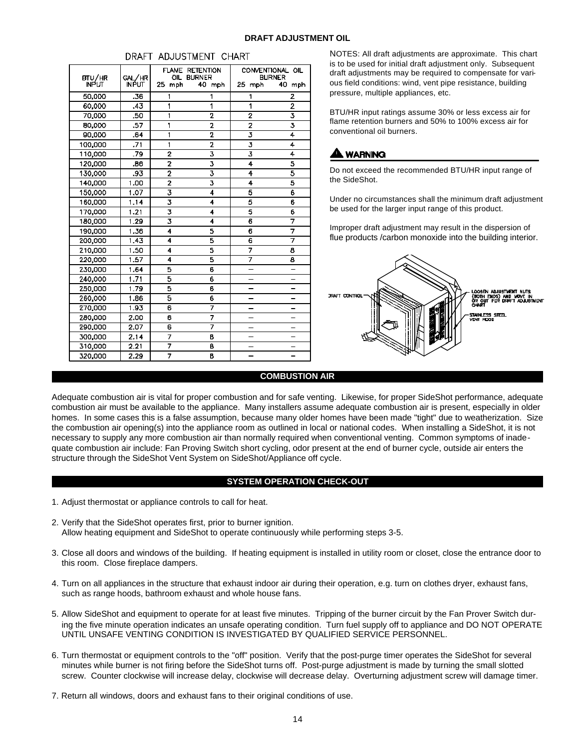|  | <b>DRAFT ADJUSTMENT OIL</b> |  |
|--|-----------------------------|--|
|--|-----------------------------|--|

| BTU/HR       | GAL/HR       |                | FLAME RETENTION<br>OIL BURNER |                         | CONVENTIONAL OIL<br><b>BURNER</b> |
|--------------|--------------|----------------|-------------------------------|-------------------------|-----------------------------------|
| <b>INPUT</b> | <b>INPUT</b> | 25.<br>mph     | 40 mph                        | 25 mph                  | 40<br>mph                         |
| 50,0DO       | .38          | 1              | 1                             | 1                       | 2                                 |
| 60.000       | .43          | 1              | 1                             | 1                       | $\overline{2}$                    |
| 70,000       | .50          | 1              | 2                             | 2                       | 3                                 |
| 80,000       | .57          | 1              | 2                             | 2                       | 3                                 |
| 90,000       | 64           | 1              | 2                             | 3                       | 4                                 |
| 100,000      | .71          | 1              | 2                             | 3                       | 4                                 |
| 110,000      | -79          | $\overline{2}$ | 3                             | $\overline{\mathbf{3}}$ | 4                                 |
| 120,000      | .86          | 2              | 3                             | 4                       | 5                                 |
| 130,000      | .93          | $\overline{2}$ | 3                             | 4                       | 5                                 |
| 140,000      | 1.00         | $\overline{2}$ | 3                             | 4                       | 5                                 |
| 150,000      | 1.07         | 3              | 4                             | 5                       | 6                                 |
| 160,000      | 1.14         | 3              | 4                             | 5                       | 6                                 |
| 170,000      | 1,21         | 3              | 4                             | 5                       | 6                                 |
| 180,000      | 1.29         | 3              | 4                             | 6                       | 7                                 |
| 190,000      | 1.36         | 4              | 5                             | 6                       | 7                                 |
| 200,000      | 1.43         | 4              | 5                             | 6                       | 7                                 |
| 210,000      | 1.50         | 4              | 5                             | 7                       | 8                                 |
| 220,000      | 1.57         | 4              | Б                             | 7                       | 8                                 |
| 230,000      | 1.64         | Б              | 6                             |                         |                                   |
| 240,000      | 1.71         | 5              | 6                             |                         |                                   |
| 250,000      | 1.79         | 5              | 6                             |                         |                                   |
| 260,000      | 1.86         | 5              | 6                             |                         |                                   |
| 270,000      | 1.93         | 6              | 7                             |                         |                                   |
| 280,000      | 2.00         | 6              | 7                             |                         |                                   |
| 290,000      | 2.07         | e              | 7                             |                         |                                   |
| 300,000      | 2.14         | 7              | B                             |                         |                                   |
| 310,000      | 2.21         | $\overline{7}$ | B                             |                         |                                   |
| 320,000      | 2.29         | 7              | B                             |                         |                                   |

#### DRAFT ADJUSTMENT CHART

NOTES: All draft adjustments are approximate. This chart is to be used for initial draft adjustment only. Subsequent draft adjustments may be required to compensate for various field conditions: wind, vent pipe resistance, building pressure, multiple appliances, etc.

BTU/HR input ratings assume 30% or less excess air for flame retention burners and 50% to 100% excess air for conventional oil burners.

## **A WARNING**

Do not exceed the recommended BTU/HR input range of the SideShot.

Under no circumstances shall the minimum draft adjustment be used for the larger input range of this product.

Improper draft adjustment may result in the dispersion of flue products /carbon monoxide into the building interior.



#### **COMBUSTION AIR**

Adequate combustion air is vital for proper combustion and for safe venting. Likewise, for proper SideShot performance, adequate combustion air must be available to the appliance. Many installers assume adequate combustion air is present, especially in older homes. In some cases this is a false assumption, because many older homes have been made "tight" due to weatherization. Size the combustion air opening(s) into the appliance room as outlined in local or national codes. When installing a SideShot, it is not necessary to supply any more combustion air than normally required when conventional venting. Common symptoms of inadequate combustion air include: Fan Proving Switch short cycling, odor present at the end of burner cycle, outside air enters the structure through the SideShot Vent System on SideShot/Appliance off cycle.

#### **SYSTEM OPERATION CHECK-OUT**

- 1. Adjust thermostat or appliance controls to call for heat.
- 2. Verify that the SideShot operates first, prior to burner ignition. Allow heating equipment and SideShot to operate continuously while performing steps 3-5.
- 3. Close all doors and windows of the building. If heating equipment is installed in utility room or closet, close the entrance door to this room. Close fireplace dampers.
- 4. Turn on all appliances in the structure that exhaust indoor air during their operation, e.g. turn on clothes dryer, exhaust fans, such as range hoods, bathroom exhaust and whole house fans.
- 5. Allow SideShot and equipment to operate for at least five minutes. Tripping of the burner circuit by the Fan Prover Switch during the five minute operation indicates an unsafe operating condition. Turn fuel supply off to appliance and DO NOT OPERATE UNTIL UNSAFE VENTING CONDITION IS INVESTIGATED BY QUALIFIED SERVICE PERSONNEL.
- 6. Turn thermostat or equipment controls to the "off" position. Verify that the post-purge timer operates the SideShot for several minutes while burner is not firing before the SideShot turns off. Post-purge adjustment is made by turning the small slotted screw. Counter clockwise will increase delay, clockwise will decrease delay. Overturning adjustment screw will damage timer.
- 7. Return all windows, doors and exhaust fans to their original conditions of use.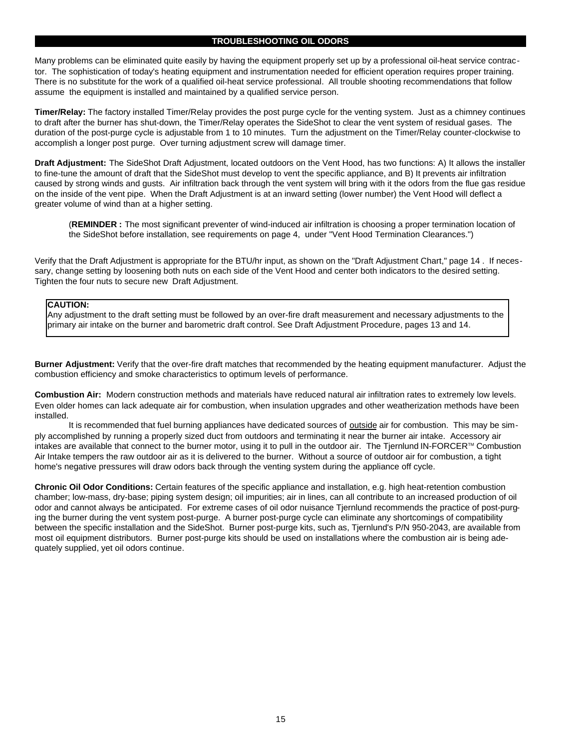#### **TROUBLESHOOTING OIL ODORS**

Many problems can be eliminated quite easily by having the equipment properly set up by a professional oil-heat service contractor. The sophistication of today's heating equipment and instrumentation needed for efficient operation requires proper training. There is no substitute for the work of a qualified oil-heat service professional. All trouble shooting recommendations that follow assume the equipment is installed and maintained by a qualified service person.

**Timer/Relay:** The factory installed Timer/Relay provides the post purge cycle for the venting system. Just as a chimney continues to draft after the burner has shut-down, the Timer/Relay operates the SideShot to clear the vent system of residual gases. The duration of the post-purge cycle is adjustable from 1 to 10 minutes. Turn the adjustment on the Timer/Relay counter-clockwise to accomplish a longer post purge. Over turning adjustment screw will damage timer.

**Draft Adjustment:** The SideShot Draft Adjustment, located outdoors on the Vent Hood, has two functions: A) It allows the installer to fine-tune the amount of draft that the SideShot must develop to vent the specific appliance, and B) It prevents air infiltration caused by strong winds and gusts. Air infiltration back through the vent system will bring with it the odors from the flue gas residue on the inside of the vent pipe. When the Draft Adjustment is at an inward setting (lower number) the Vent Hood will deflect a greater volume of wind than at a higher setting.

(**REMINDER :** The most significant preventer of wind-induced air infiltration is choosing a proper termination location of the SideShot before installation, see requirements on page 4, under "Vent Hood Termination Clearances.")

Verify that the Draft Adjustment is appropriate for the BTU/hr input, as shown on the "Draft Adjustment Chart," page 14 . If necessary, change setting by loosening both nuts on each side of the Vent Hood and center both indicators to the desired setting. Tighten the four nuts to secure new Draft Adjustment.

#### **CAUTION:**

Any adjustment to the draft setting must be followed by an over-fire draft measurement and necessary adjustments to the primary air intake on the burner and barometric draft control. See Draft Adjustment Procedure, pages 13 and 14.

**Burner Adjustment:** Verify that the over-fire draft matches that recommended by the heating equipment manufacturer. Adjust the combustion efficiency and smoke characteristics to optimum levels of performance.

**Combustion Air:** Modern construction methods and materials have reduced natural air infiltration rates to extremely low levels. Even older homes can lack adequate air for combustion, when insulation upgrades and other weatherization methods have been installed.

It is recommended that fuel burning appliances have dedicated sources of outside air for combustion. This may be simply accomplished by running a properly sized duct from outdoors and terminating it near the burner air intake. Accessory air intakes are available that connect to the burner motor, using it to pull in the outdoor air. The Tjernlund IN-FORCER™ Combustion Air Intake tempers the raw outdoor air as it is delivered to the burner. Without a source of outdoor air for combustion, a tight home's negative pressures will draw odors back through the venting system during the appliance off cycle.

**Chronic Oil Odor Conditions:** Certain features of the specific appliance and installation, e.g. high heat-retention combustion chamber; low-mass, dry-base; piping system design; oil impurities; air in lines, can all contribute to an increased production of oil odor and cannot always be anticipated. For extreme cases of oil odor nuisance Tjernlund recommends the practice of post-purging the burner during the vent system post-purge. A burner post-purge cycle can eliminate any shortcomings of compatibility between the specific installation and the SideShot. Burner post-purge kits, such as, Tjernlund's P/N 950-2043, are available from most oil equipment distributors. Burner post-purge kits should be used on installations where the combustion air is being adequately supplied, yet oil odors continue.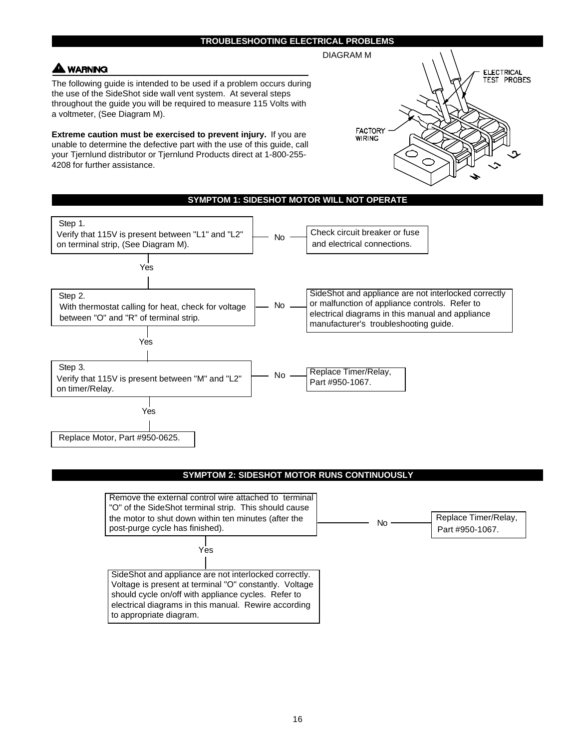#### **TROUBLESHOOTING ELECTRICAL PROBLEMS**

### **WARNING**

The following guide is intended to be used if a problem occurs during the use of the SideShot side wall vent system. At several steps throughout the guide you will be required to measure 115 Volts with a voltmeter, (See Diagram M).

**Extreme caution must be exercised to prevent injury.** If you are unable to determine the defective part with the use of this guide, call your Tjernlund distributor or Tjernlund Products direct at 1-800-255- 4208 for further assistance.





#### **SYMPTOM 2: SIDESHOT MOTOR RUNS CONTINUOUSLY**

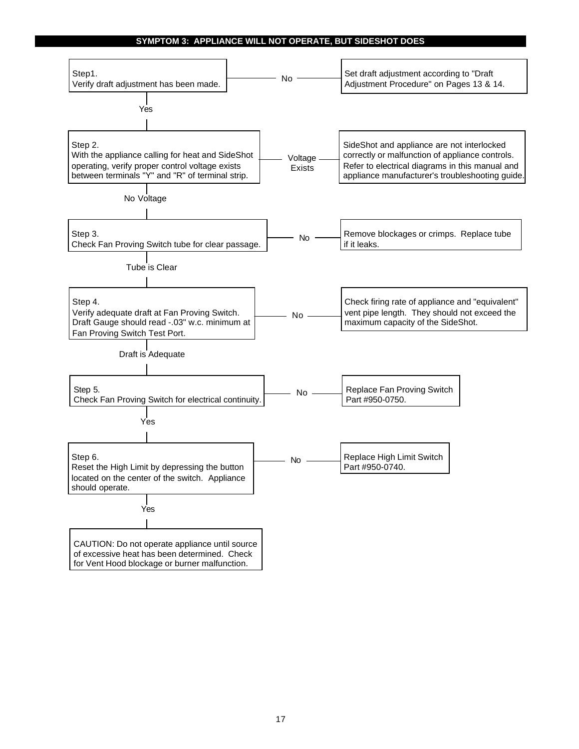#### **SYMPTOM 3: APPLIANCE WILL NOT OPERATE, BUT SIDESHOT DOES**

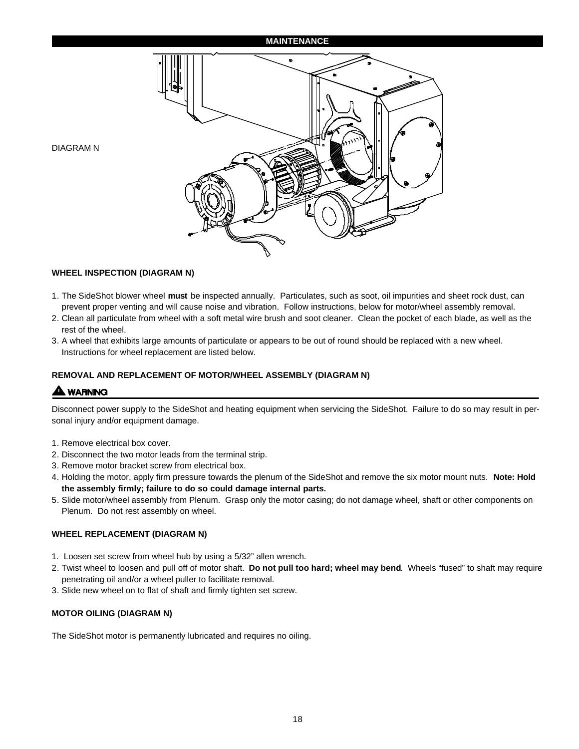#### **MAINTENANCE**



**WHEEL INSPECTION (DIAGRAM N)**

- 1. The SideShot blower wheel **must** be inspected annually. Particulates, such as soot, oil impurities and sheet rock dust, can prevent proper venting and will cause noise and vibration. Follow instructions, below for motor/wheel assembly removal.
- 2. Clean all particulate from wheel with a soft metal wire brush and soot cleaner. Clean the pocket of each blade, as well as the rest of the wheel.
- 3. A wheel that exhibits large amounts of particulate or appears to be out of round should be replaced with a new wheel. Instructions for wheel replacement are listed below.

#### **REMOVAL AND REPLACEMENT OF MOTOR/WHEEL ASSEMBLY (DIAGRAM N)**

### **A** WARNING

DIAGRAM N

Disconnect power supply to the SideShot and heating equipment when servicing the SideShot. Failure to do so may result in personal injury and/or equipment damage.

- 1. Remove electrical box cover.
- 2. Disconnect the two motor leads from the terminal strip.
- 3. Remove motor bracket screw from electrical box.
- 4. Holding the motor, apply firm pressure towards the plenum of the SideShot and remove the six motor mount nuts. **Note: Hold the assembly firmly; failure to do so could damage internal parts.**
- 5. Slide motor/wheel assembly from Plenum. Grasp only the motor casing; do not damage wheel, shaft or other components on Plenum. Do not rest assembly on wheel.

#### **WHEEL REPLACEMENT (DIAGRAM N)**

- 1. Loosen set screw from wheel hub by using a 5/32" allen wrench.
- 2. Twist wheel to loosen and pull off of motor shaft. **Do not pull too hard; wheel may bend**. Wheels "fused" to shaft may require penetrating oil and/or a wheel puller to facilitate removal.
- 3. Slide new wheel on to flat of shaft and firmly tighten set screw.

#### **MOTOR OILING (DIAGRAM N)**

The SideShot motor is permanently lubricated and requires no oiling.